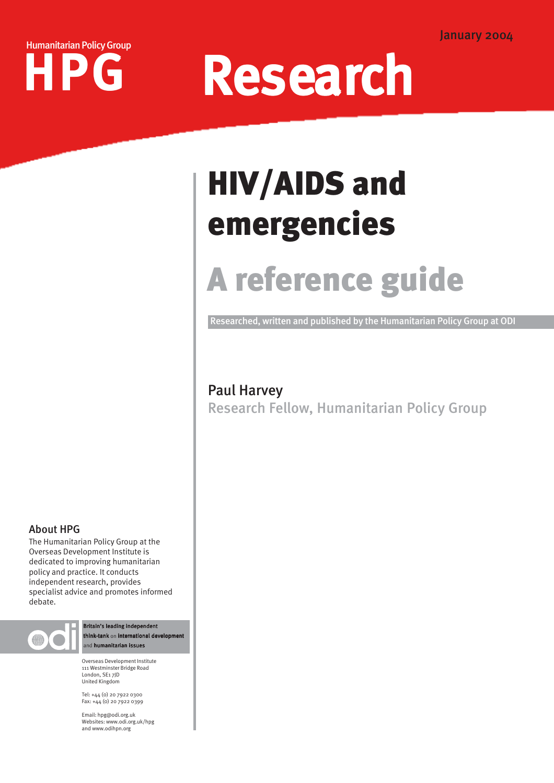



## HIV/AIDS and emergencies

## A reference guide

Researched, written and published by the Humanitarian Policy Group at ODI

## Paul Harvey

Research Fellow, Humanitarian Policy Group

## About HPG

The Humanitarian Policy Group at the Overseas Development Institute is dedicated to improving humanitarian policy and practice. It conducts independent research, provides specialist advice and promotes informed debate.



Britain's leading independent think-tank on international developr and humanitarian issues

Overseas Development Institute 111 Westminster Bridge Road London, SE1 7JD United Kingdom

Tel: +44 (0) 20 7922 0300 Fax: +44 (0) 20 7922 0399

Email: hpg@odi.org.uk Websites: www.odi.org.uk/hpg and www.odihpn.org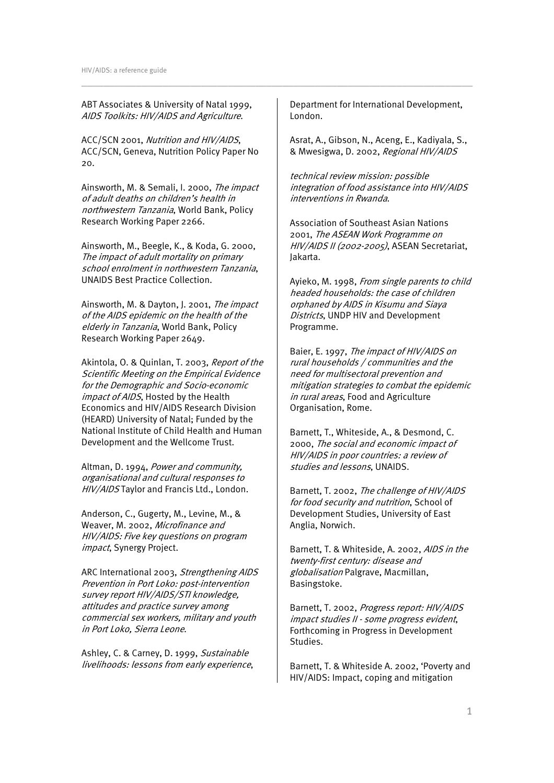ABT Associates & University of Natal 1999, AIDS Toolkits: HIV/AIDS and Agriculture.

ACC/SCN 2001, Nutrition and HIV/AIDS, ACC/SCN, Geneva, Nutrition Policy Paper No  $20<sub>2</sub>$ 

Ainsworth, M. & Semali, I. 2000, The impact of adult deaths on children's health in northwestern Tanzania, World Bank, Policy Research Working Paper 2266.

Ainsworth, M., Beegle, K., & Koda, G. 2000, The impact of adult mortality on primary school enrolment in northwestern Tanzania, UNAIDS Best Practice Collection.

Ainsworth, M. & Dayton, J. 2001, The impact of the AIDS epidemic on the health of the elderly in Tanzania, World Bank, Policy Research Working Paper 2649.

Akintola, O. & Quinlan, T. 2003, Report of the Scientific Meeting on the Empirical Evidence for the Demographic and Socio-economic impact of AIDS, Hosted by the Health Economics and HIV/AIDS Research Division (HEARD) University of Natal; Funded by the National Institute of Child Health and Human Development and the Wellcome Trust.

Altman, D. 1994, Power and community, organisational and cultural responses to HIV/AIDS Taylor and Francis Ltd., London.

Anderson, C., Gugerty, M., Levine, M., & Weaver, M. 2002, Microfinance and HIV/AIDS: Five key questions on program *impact*, Synergy Project.

ARC International 2003, Strengthening AIDS Prevention in Port Loko: post-intervention survey report HIV/AIDS/STI knowledge, attitudes and practice survey among commercial sex workers, military and youth in Port Loko, Sierra Leone.

Ashley, C. & Carney, D. 1999, Sustainable livelihoods: lessons from early experience, Department for International Development, London.

\_\_\_\_\_\_\_\_\_\_\_\_\_\_\_\_\_\_\_\_\_\_\_\_\_\_\_\_\_\_\_\_\_\_\_\_\_\_\_\_\_\_\_\_\_\_\_\_\_\_\_\_\_\_\_\_\_\_\_\_\_\_\_\_\_\_\_\_\_\_\_\_

Asrat, A., Gibson, N., Aceng, E., Kadiyala, S., & Mwesigwa, D. 2002, Regional HIV/AIDS

technical review mission: possible integration of food assistance into HIV/AIDS interventions in Rwanda.

Association of Southeast Asian Nations 2001, The ASEAN Work Programme on HIV/AIDS II (2002-2005), ASEAN Secretariat, Jakarta.

Ayieko, M. 1998, From single parents to child headed households: the case of children orphaned by AIDS in Kisumu and Siaya Districts, UNDP HIV and Development Programme.

Baier, E. 1997, The impact of HIV/AIDS on rural households / communities and the need for multisectoral prevention and mitigation strategies to combat the epidemic in rural areas, Food and Agriculture Organisation, Rome.

Barnett, T., Whiteside, A., & Desmond, C. 2000, The social and economic impact of HIV/AIDS in poor countries: a review of studies and lessons, UNAIDS.

Barnett, T. 2002, The challenge of HIV/AIDS for food security and nutrition, School of Development Studies, University of East Anglia, Norwich.

Barnett, T. & Whiteside, A. 2002, AIDS in the twenty-first century: disease and globalisation Palgrave, Macmillan, Basingstoke.

Barnett, T. 2002, Progress report: HIV/AIDS impact studies II - some progress evident, Forthcoming in Progress in Development Studies.

Barnett, T. & Whiteside A. 2002, 'Poverty and HIV/AIDS: Impact, coping and mitigation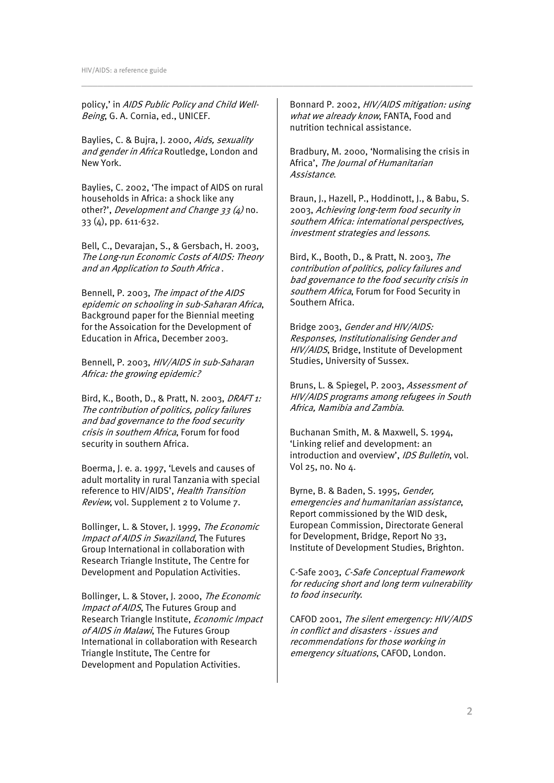policy,' in AIDS Public Policy and Child Well-Being, G. A. Cornia, ed., UNICEF.

Baylies, C. & Bujra, J. 2000, Aids, sexuality and gender in Africa Routledge, London and New York.

Baylies, C. 2002, 'The impact of AIDS on rural households in Africa: a shock like any other?', *Development and Change 33 (4)* no. 33 (4), pp. 611-632.

Bell, C., Devarajan, S., & Gersbach, H. 2003, The Long-run Economic Costs of AIDS: Theory and an Application to South Africa .

Bennell, P. 2003, The impact of the AIDS epidemic on schooling in sub-Saharan Africa, Background paper for the Biennial meeting for the Assoication for the Development of Education in Africa, December 2003.

Bennell, P. 2003, HIV/AIDS in sub-Saharan Africa: the growing epidemic?

Bird, K., Booth, D., & Pratt, N. 2003, DRAFT 1: The contribution of politics, policy failures and bad governance to the food security crisis in southern Africa, Forum for food security in southern Africa.

Boerma, J. e. a. 1997, 'Levels and causes of adult mortality in rural Tanzania with special reference to HIV/AIDS', Health Transition Review, vol. Supplement 2 to Volume 7.

Bollinger, L. & Stover, J. 1999, The Economic Impact of AIDS in Swaziland, The Futures Group International in collaboration with Research Triangle Institute, The Centre for Development and Population Activities.

Bollinger, L. & Stover, J. 2000, The Economic Impact of AIDS. The Futures Group and Research Triangle Institute, Economic Impact of AIDS in Malawi, The Futures Group International in collaboration with Research Triangle Institute, The Centre for Development and Population Activities.

Bonnard P. 2002, HIV/AIDS mitigation: using what we already know, FANTA, Food and nutrition technical assistance.

\_\_\_\_\_\_\_\_\_\_\_\_\_\_\_\_\_\_\_\_\_\_\_\_\_\_\_\_\_\_\_\_\_\_\_\_\_\_\_\_\_\_\_\_\_\_\_\_\_\_\_\_\_\_\_\_\_\_\_\_\_\_\_\_\_\_\_\_\_\_\_\_

Bradbury, M. 2000, 'Normalising the crisis in Africa', The Journal of Humanitarian Assistance.

Braun, J., Hazell, P., Hoddinott, J., & Babu, S. 2003, Achieving long-term food security in southern Africa: international perspectives, investment strategies and lessons.

Bird, K., Booth, D., & Pratt, N. 2003, The contribution of politics, policy failures and bad governance to the food security crisis in southern Africa, Forum for Food Security in Southern Africa.

Bridge 2003, Gender and HIV/AIDS: Responses, Institutionalising Gender and HIV/AIDS, Bridge, Institute of Development Studies, University of Sussex.

Bruns, L. & Spiegel, P. 2003, Assessment of HIV/AIDS programs among refugees in South Africa, Namibia and Zambia.

Buchanan Smith, M. & Maxwell, S. 1994, 'Linking relief and development: an introduction and overview', IDS Bulletin, vol. Vol 25, no. No 4.

Byrne, B. & Baden, S. 1995, Gender, emergencies and humanitarian assistance, Report commissioned by the WID desk, European Commission, Directorate General for Development, Bridge, Report No 33, Institute of Development Studies, Brighton.

C-Safe 2003, C-Safe Conceptual Framework for reducing short and long term vulnerability to food insecurity.

CAFOD 2001, The silent emergency: HIV/AIDS in conflict and disasters - issues and recommendations for those working in emergency situations, CAFOD, London.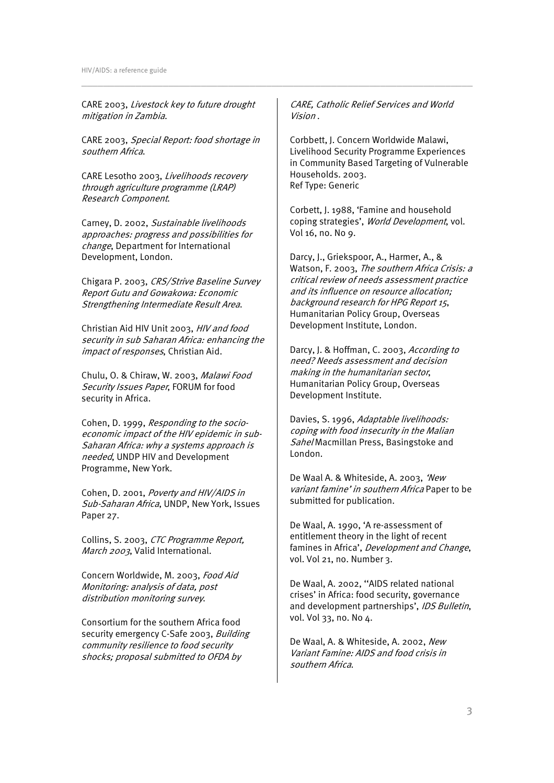CARE 2003, Livestock key to future drought mitigation in Zambia.

CARE 2003, Special Report: food shortage in southern Africa.

CARE Lesotho 2003, Livelihoods recovery through agriculture programme (LRAP) Research Component.

Carney, D. 2002, Sustainable livelihoods approaches: progress and possibilities for change, Department for International Development, London.

Chigara P. 2003, CRS/Strive Baseline Survey Report Gutu and Gowakowa: Economic Strengthening Intermediate Result Area.

Christian Aid HIV Unit 2003, HIV and food security in sub Saharan Africa: enhancing the impact of responses, Christian Aid.

Chulu, O. & Chiraw, W. 2003, Malawi Food Security Issues Paper, FORUM for food security in Africa.

Cohen, D. 1999, Responding to the socioeconomic impact of the HIV epidemic in sub-Saharan Africa: why a systems approach is needed, UNDP HIV and Development Programme, New York.

Cohen, D. 2001, Poverty and HIV/AIDS in Sub-Saharan Africa, UNDP, New York, Issues Paper 27.

Collins, S. 2003, CTC Programme Report, March 2003, Valid International.

Concern Worldwide, M. 2003, Food Aid Monitoring: analysis of data, post distribution monitoring survey.

Consortium for the southern Africa food security emergency C-Safe 2003, Building community resilience to food security shocks; proposal submitted to OFDA by

CARE, Catholic Relief Services and World Vision .

\_\_\_\_\_\_\_\_\_\_\_\_\_\_\_\_\_\_\_\_\_\_\_\_\_\_\_\_\_\_\_\_\_\_\_\_\_\_\_\_\_\_\_\_\_\_\_\_\_\_\_\_\_\_\_\_\_\_\_\_\_\_\_\_\_\_\_\_\_\_\_\_

Corbbett, J. Concern Worldwide Malawi, Livelihood Security Programme Experiences in Community Based Targeting of Vulnerable Households. 2003. Ref Type: Generic

Corbett, J. 1988, 'Famine and household coping strategies', World Development, vol. Vol 16, no. No 9.

Darcy, J., Griekspoor, A., Harmer, A., & Watson, F. 2003, The southern Africa Crisis: a critical review of needs assessment practice and its influence on resource allocation; background research for HPG Report 15, Humanitarian Policy Group, Overseas Development Institute, London.

Darcy, J. & Hoffman, C. 2003, According to need? Needs assessment and decision making in the humanitarian sector, Humanitarian Policy Group, Overseas Development Institute.

Davies, S. 1996, Adaptable livelihoods: coping with food insecurity in the Malian Sahel Macmillan Press, Basingstoke and London.

De Waal A. & Whiteside, A. 2003, 'New variant famine' in southern Africa Paper to be submitted for publication.

De Waal, A. 1990, 'A re-assessment of entitlement theory in the light of recent famines in Africa', Development and Change, vol. Vol 21, no. Number 3.

De Waal, A. 2002, ''AIDS related national crises' in Africa: food security, governance and development partnerships', IDS Bulletin, vol. Vol 33, no. No 4.

De Waal, A. & Whiteside, A. 2002, New Variant Famine: AIDS and food crisis in southern Africa.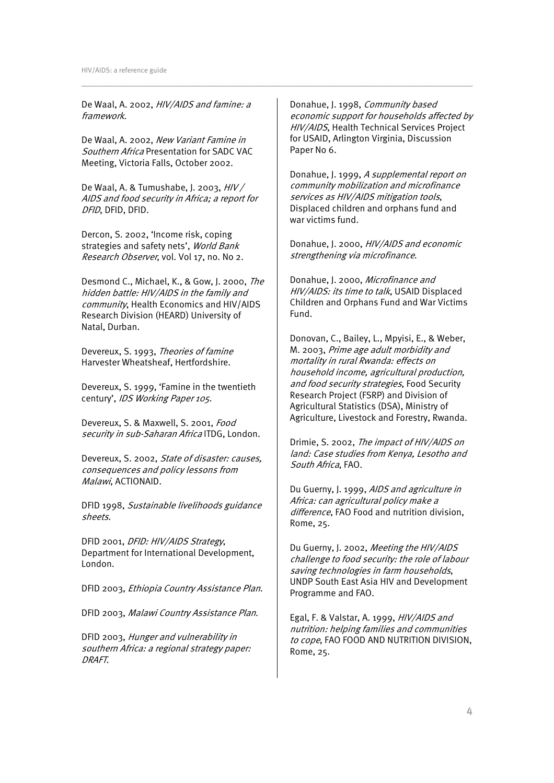De Waal, A. 2002, HIV/AIDS and famine: a framework.

De Waal, A. 2002, New Variant Famine in Southern Africa Presentation for SADC VAC Meeting, Victoria Falls, October 2002.

De Waal, A. & Tumushabe, J. 2003, HIV / AIDS and food security in Africa; a report for DFID, DFID, DFID.

Dercon, S. 2002, 'Income risk, coping strategies and safety nets', World Bank Research Observer, vol. Vol 17, no. No 2.

Desmond C., Michael, K., & Gow, J. 2000, The hidden battle: HIV/AIDS in the family and community, Health Economics and HIV/AIDS Research Division (HEARD) University of Natal, Durban.

Devereux, S. 1993, Theories of famine Harvester Wheatsheaf, Hertfordshire.

Devereux, S. 1999, 'Famine in the twentieth century', IDS Working Paper 105.

Devereux, S. & Maxwell, S. 2001, Food security in sub-Saharan Africa ITDG, London.

Devereux, S. 2002, State of disaster: causes, consequences and policy lessons from Malawi, ACTIONAID.

DFID 1998, Sustainable livelihoods guidance sheets.

DFID 2001, DFID: HIV/AIDS Strategy, Department for International Development, London.

DFID 2003, Ethiopia Country Assistance Plan.

DFID 2003, Malawi Country Assistance Plan.

DFID 2003, Hunger and vulnerability in southern Africa: a regional strategy paper: DRAFT.

Donahue, J. 1998, Community based economic support for households affected by HIV/AIDS, Health Technical Services Project for USAID, Arlington Virginia, Discussion Paper No 6.

\_\_\_\_\_\_\_\_\_\_\_\_\_\_\_\_\_\_\_\_\_\_\_\_\_\_\_\_\_\_\_\_\_\_\_\_\_\_\_\_\_\_\_\_\_\_\_\_\_\_\_\_\_\_\_\_\_\_\_\_\_\_\_\_\_\_\_\_\_\_\_\_

Donahue, J. 1999, A supplemental report on community mobilization and microfinance services as HIV/AIDS mitigation tools, Displaced children and orphans fund and war victims fund.

Donahue, J. 2000, HIV/AIDS and economic strengthening via microfinance.

Donahue, J. 2000, Microfinance and HIV/AIDS: its time to talk, USAID Displaced Children and Orphans Fund and War Victims Fund.

Donovan, C., Bailey, L., Mpyisi, E., & Weber, M. 2003, Prime age adult morbidity and mortality in rural Rwanda: effects on household income, agricultural production, and food security strategies, Food Security Research Project (FSRP) and Division of Agricultural Statistics (DSA), Ministry of Agriculture, Livestock and Forestry, Rwanda.

Drimie, S. 2002, The impact of HIV/AIDS on land: Case studies from Kenya, Lesotho and South Africa, FAO.

Du Guerny, J. 1999, AIDS and agriculture in Africa: can agricultural policy make a difference, FAO Food and nutrition division, Rome, 25.

Du Guerny, J. 2002, Meeting the HIV/AIDS challenge to food security: the role of labour saving technologies in farm households, UNDP South East Asia HIV and Development Programme and FAO.

Egal, F. & Valstar, A. 1999, HIV/AIDS and nutrition: helping families and communities to cope, FAO FOOD AND NUTRITION DIVISION, Rome, 25.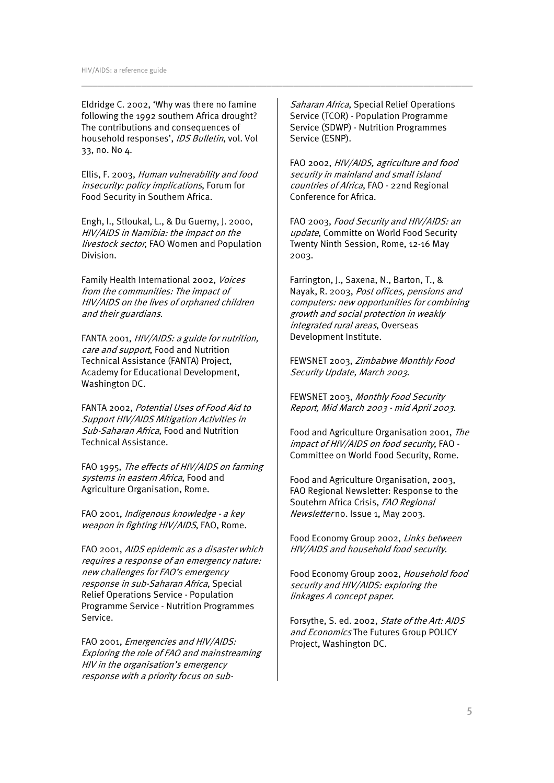Eldridge C. 2002, 'Why was there no famine following the 1992 southern Africa drought? The contributions and consequences of household responses', *IDS Bulletin*, vol. Vol. 33, no. No 4.

Ellis, F. 2003, Human vulnerability and food insecurity: policy implications, Forum for Food Security in Southern Africa.

Engh, I., Stloukal, L., & Du Guerny, J. 2000, HIV/AIDS in Namibia: the impact on the livestock sector, FAO Women and Population Division.

Family Health International 2002, Voices from the communities: The impact of HIV/AIDS on the lives of orphaned children and their guardians.

FANTA 2001, HIV/AIDS: a guide for nutrition, care and support, Food and Nutrition Technical Assistance (FANTA) Project, Academy for Educational Development, Washington DC.

FANTA 2002, Potential Uses of Food Aid to Support HIV/AIDS Mitigation Activities in Sub-Saharan Africa, Food and Nutrition Technical Assistance.

FAO 1995, The effects of HIV/AIDS on farming systems in eastern Africa, Food and Agriculture Organisation, Rome.

FAO 2001, Indigenous knowledge - a key weapon in fighting HIV/AIDS, FAO, Rome.

FAO 2001, AIDS epidemic as a disaster which requires a response of an emergency nature: new challenges for FAO's emergency response in sub-Saharan Africa, Special Relief Operations Service - Population Programme Service - Nutrition Programmes Service.

FAO 2001, Emergencies and HIV/AIDS: Exploring the role of FAO and mainstreaming HIV in the organisation's emergency response with a priority focus on subSaharan Africa, Special Relief Operations Service (TCOR) - Population Programme Service (SDWP) - Nutrition Programmes Service (ESNP).

\_\_\_\_\_\_\_\_\_\_\_\_\_\_\_\_\_\_\_\_\_\_\_\_\_\_\_\_\_\_\_\_\_\_\_\_\_\_\_\_\_\_\_\_\_\_\_\_\_\_\_\_\_\_\_\_\_\_\_\_\_\_\_\_\_\_\_\_\_\_\_\_

FAO 2002, HIV/AIDS, agriculture and food security in mainland and small island countries of Africa, FAO - 22nd Regional Conference for Africa.

FAO 2003, Food Security and HIV/AIDS: an update, Committe on World Food Security Twenty Ninth Session, Rome, 12-16 May 2003.

Farrington, J., Saxena, N., Barton, T., & Nayak, R. 2003, Post offices, pensions and computers: new opportunities for combining growth and social protection in weakly integrated rural areas, Overseas Development Institute.

FEWSNET 2003, Zimbabwe Monthly Food Security Update, March 2003.

FEWSNET 2003, Monthly Food Security Report, Mid March 2003 - mid April 2003.

Food and Agriculture Organisation 2001, The impact of HIV/AIDS on food security, FAO - Committee on World Food Security, Rome.

Food and Agriculture Organisation, 2003, FAO Regional Newsletter: Response to the Soutehrn Africa Crisis, FAO Regional Newsletter no. Issue 1, May 2003.

Food Economy Group 2002, Links between HIV/AIDS and household food security.

Food Economy Group 2002, Household food security and HIV/AIDS: exploring the linkages A concept paper.

Forsythe, S. ed. 2002, State of the Art: AIDS and Economics The Futures Group POLICY Project, Washington DC.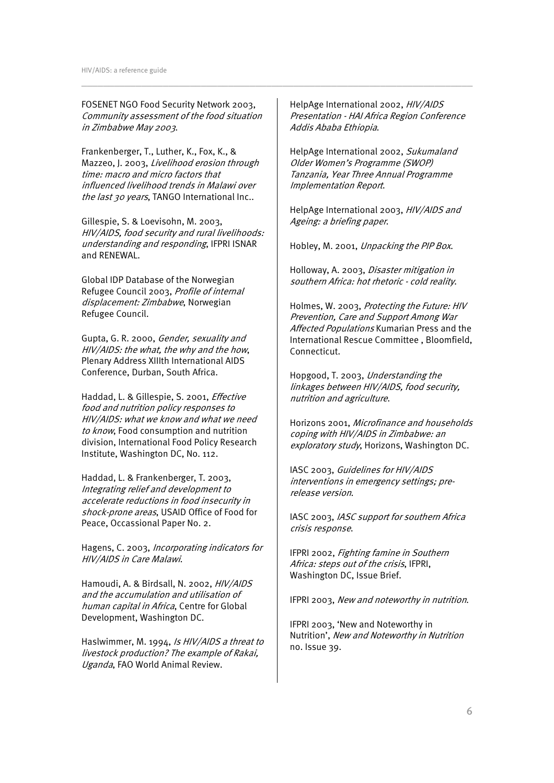FOSENET NGO Food Security Network 2003, Community assessment of the food situation in Zimbabwe May 2003.

Frankenberger, T., Luther, K., Fox, K., & Mazzeo, J. 2003, Livelihood erosion through time: macro and micro factors that influenced livelihood trends in Malawi over the last 30 years, TANGO International Inc..

Gillespie, S. & Loevisohn, M. 2003, HIV/AIDS, food security and rural livelihoods: understanding and responding, IFPRI ISNAR and RENEWAL.

Global IDP Database of the Norwegian Refugee Council 2003, Profile of internal displacement: Zimbabwe, Norwegian Refugee Council.

Gupta, G. R. 2000, Gender, sexuality and HIV/AIDS: the what, the why and the how, Plenary Address XIIIth International AIDS Conference, Durban, South Africa.

Haddad, L. & Gillespie, S. 2001, Effective food and nutrition policy responses to HIV/AIDS: what we know and what we need to know, Food consumption and nutrition division, International Food Policy Research Institute, Washington DC, No. 112.

Haddad, L. & Frankenberger, T. 2003, Integrating relief and development to accelerate reductions in food insecurity in shock-prone areas, USAID Office of Food for Peace, Occassional Paper No. 2.

Hagens, C. 2003, Incorporating indicators for HIV/AIDS in Care Malawi.

Hamoudi, A. & Birdsall, N. 2002, HIV/AIDS and the accumulation and utilisation of human capital in Africa, Centre for Global Development, Washington DC.

Haslwimmer, M. 1994, Is HIV/AIDS a threat to livestock production? The example of Rakai, Uganda, FAO World Animal Review.

HelpAge International 2002, HIV/AIDS Presentation - HAI Africa Region Conference Addis Ababa Ethiopia.

\_\_\_\_\_\_\_\_\_\_\_\_\_\_\_\_\_\_\_\_\_\_\_\_\_\_\_\_\_\_\_\_\_\_\_\_\_\_\_\_\_\_\_\_\_\_\_\_\_\_\_\_\_\_\_\_\_\_\_\_\_\_\_\_\_\_\_\_\_\_\_\_

HelpAge International 2002, Sukumaland Older Women's Programme (SWOP) Tanzania, Year Three Annual Programme Implementation Report.

HelpAge International 2003, HIV/AIDS and Ageing: a briefing paper.

Hobley, M. 2001, Unpacking the PIP Box.

Holloway, A. 2003, Disaster mitigation in southern Africa: hot rhetoric - cold reality.

Holmes, W. 2003, Protecting the Future: HIV Prevention, Care and Support Among War Affected Populations Kumarian Press and the International Rescue Committee , Bloomfield, Connecticut.

Hopgood, T. 2003, Understanding the linkages between HIV/AIDS, food security, nutrition and agriculture.

Horizons 2001, Microfinance and households coping with HIV/AIDS in Zimbabwe: an exploratory study, Horizons, Washington DC.

IASC 2003, Guidelines for HIV/AIDS interventions in emergency settings; prerelease version.

IASC 2003, IASC support for southern Africa crisis response.

IFPRI 2002, Fighting famine in Southern Africa: steps out of the crisis, IFPRI, Washington DC, Issue Brief.

IFPRI 2003, New and noteworthy in nutrition.

IFPRI 2003, 'New and Noteworthy in Nutrition', New and Noteworthy in Nutrition no. Issue 39.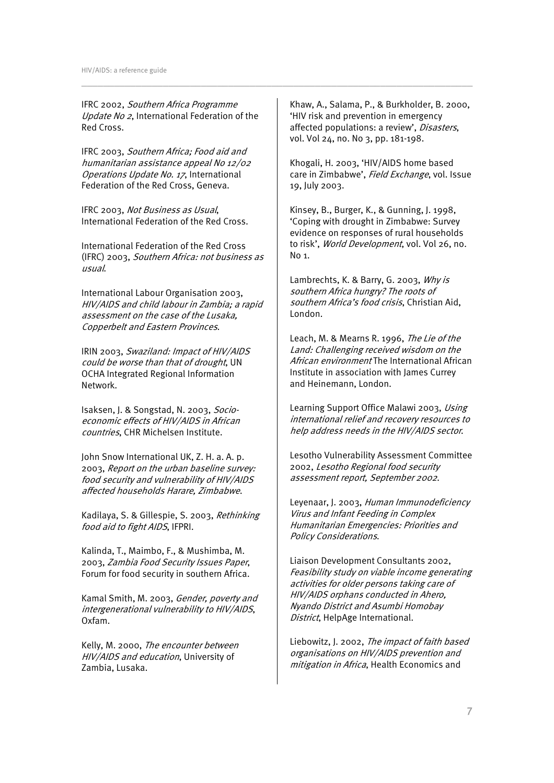IFRC 2002, Southern Africa Programme Update No 2, International Federation of the Red Cross.

IFRC 2003, Southern Africa; Food aid and humanitarian assistance appeal No 12/02 Operations Update No. 17, International Federation of the Red Cross, Geneva.

IFRC 2003, Not Business as Usual, International Federation of the Red Cross.

International Federation of the Red Cross (IFRC) 2003, Southern Africa: not business as usual.

International Labour Organisation 2003, HIV/AIDS and child labour in Zambia; a rapid assessment on the case of the Lusaka, Copperbelt and Eastern Provinces.

IRIN 2003, Swaziland: Impact of HIV/AIDS could be worse than that of drought, UN OCHA Integrated Regional Information Network.

Isaksen, J. & Songstad, N. 2003, Socioeconomic effects of HIV/AIDS in African countries, CHR Michelsen Institute.

John Snow International UK, Z. H. a. A. p. 2003, Report on the urban baseline survey: food security and vulnerability of HIV/AIDS affected households Harare, Zimbabwe.

Kadilaya, S. & Gillespie, S. 2003, Rethinking food aid to fight AIDS, IFPRI.

Kalinda, T., Maimbo, F., & Mushimba, M. 2003, Zambia Food Security Issues Paper, Forum for food security in southern Africa.

Kamal Smith, M. 2003, Gender, poverty and intergenerational vulnerability to HIV/AIDS, Oxfam.

Kelly, M. 2000, The encounter between HIV/AIDS and education, University of Zambia, Lusaka.

Khaw, A., Salama, P., & Burkholder, B. 2000, 'HIV risk and prevention in emergency affected populations: a review', Disasters, vol. Vol 24, no. No 3, pp. 181-198.

\_\_\_\_\_\_\_\_\_\_\_\_\_\_\_\_\_\_\_\_\_\_\_\_\_\_\_\_\_\_\_\_\_\_\_\_\_\_\_\_\_\_\_\_\_\_\_\_\_\_\_\_\_\_\_\_\_\_\_\_\_\_\_\_\_\_\_\_\_\_\_\_

Khogali, H. 2003, 'HIV/AIDS home based care in Zimbabwe', Field Exchange, vol. Issue 19, July 2003.

Kinsey, B., Burger, K., & Gunning, J. 1998, 'Coping with drought in Zimbabwe: Survey evidence on responses of rural households to risk', World Development, vol. Vol 26, no. No 1.

Lambrechts, K. & Barry, G. 2003, Why is southern Africa hungry? The roots of southern Africa's food crisis, Christian Aid, London.

Leach, M. & Mearns R. 1996, The Lie of the Land: Challenging received wisdom on the African environment The International African Institute in association with James Currey and Heinemann, London.

Learning Support Office Malawi 2003, Using international relief and recovery resources to help address needs in the HIV/AIDS sector.

Lesotho Vulnerability Assessment Committee 2002, Lesotho Regional food security assessment report, September 2002.

Leyenaar, J. 2003, Human Immunodeficiency Virus and Infant Feeding in Complex Humanitarian Emergencies: Priorities and Policy Considerations.

Liaison Development Consultants 2002, Feasibility study on viable income generating activities for older persons taking care of HIV/AIDS orphans conducted in Ahero, Nyando District and Asumbi Homobay District, HelpAge International.

Liebowitz, J. 2002, The impact of faith based organisations on HIV/AIDS prevention and mitigation in Africa, Health Economics and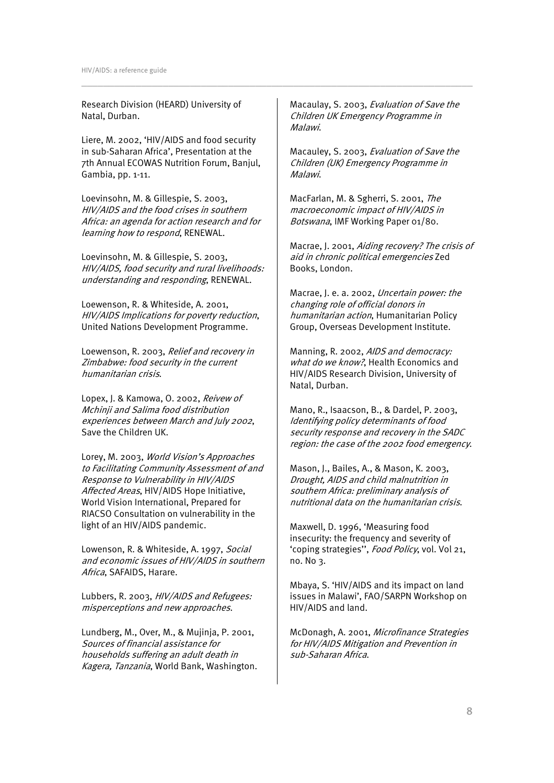Research Division (HEARD) University of Natal, Durban.

Liere, M. 2002, 'HIV/AIDS and food security in sub-Saharan Africa', Presentation at the 7th Annual ECOWAS Nutrition Forum, Banjul, Gambia, pp. 1-11.

Loevinsohn, M. & Gillespie, S. 2003, HIV/AIDS and the food crises in southern Africa: an agenda for action research and for learning how to respond, RENEWAL.

Loevinsohn, M. & Gillespie, S. 2003, HIV/AIDS, food security and rural livelihoods: understanding and responding, RENEWAL.

Loewenson, R. & Whiteside, A. 2001, HIV/AIDS Implications for poverty reduction, United Nations Development Programme.

Loewenson, R. 2003, Relief and recovery in Zimbabwe: food security in the current humanitarian crisis.

Lopex, J. & Kamowa, O. 2002, Reivew of Mchinji and Salima food distribution experiences between March and July 2002, Save the Children UK.

Lorey, M. 2003, World Vision's Approaches to Facilitating Community Assessment of and Response to Vulnerability in HIV/AIDS Affected Areas, HIV/AIDS Hope Initiative, World Vision International, Prepared for RIACSO Consultation on vulnerability in the light of an HIV/AIDS pandemic.

Lowenson, R. & Whiteside, A. 1997, Social and economic issues of HIV/AIDS in southern Africa, SAFAIDS, Harare.

Lubbers, R. 2003, HIV/AIDS and Refugees: misperceptions and new approaches.

Lundberg, M., Over, M., & Mujinja, P. 2001, Sources of financial assistance for households suffering an adult death in Kagera, Tanzania, World Bank, Washington. Macaulay, S. 2003, Evaluation of Save the Children UK Emergency Programme in Malawi.

\_\_\_\_\_\_\_\_\_\_\_\_\_\_\_\_\_\_\_\_\_\_\_\_\_\_\_\_\_\_\_\_\_\_\_\_\_\_\_\_\_\_\_\_\_\_\_\_\_\_\_\_\_\_\_\_\_\_\_\_\_\_\_\_\_\_\_\_\_\_\_\_

Macauley, S. 2003, Evaluation of Save the Children (UK) Emergency Programme in Malawi.

MacFarlan, M. & Sgherri, S. 2001, The macroeconomic impact of HIV/AIDS in Botswana, IMF Working Paper 01/80.

Macrae, J. 2001, Aiding recovery? The crisis of aid in chronic political emergencies Zed Books, London.

Macrae, J. e. a. 2002, Uncertain power: the changing role of official donors in humanitarian action, Humanitarian Policy Group, Overseas Development Institute.

Manning, R. 2002, AIDS and democracy: what do we know?. Health Economics and HIV/AIDS Research Division, University of Natal, Durban.

Mano, R., Isaacson, B., & Dardel, P. 2003, Identifying policy determinants of food security response and recovery in the SADC region: the case of the 2002 food emergency.

Mason, J., Bailes, A., & Mason, K. 2003, Drought, AIDS and child malnutrition in southern Africa: preliminary analysis of nutritional data on the humanitarian crisis.

Maxwell, D. 1996, 'Measuring food insecurity: the frequency and severity of 'coping strategies'', Food Policy, vol. Vol 21, no. No 3.

Mbaya, S. 'HIV/AIDS and its impact on land issues in Malawi', FAO/SARPN Workshop on HIV/AIDS and land.

McDonagh, A. 2001, Microfinance Strategies for HIV/AIDS Mitigation and Prevention in sub-Saharan Africa.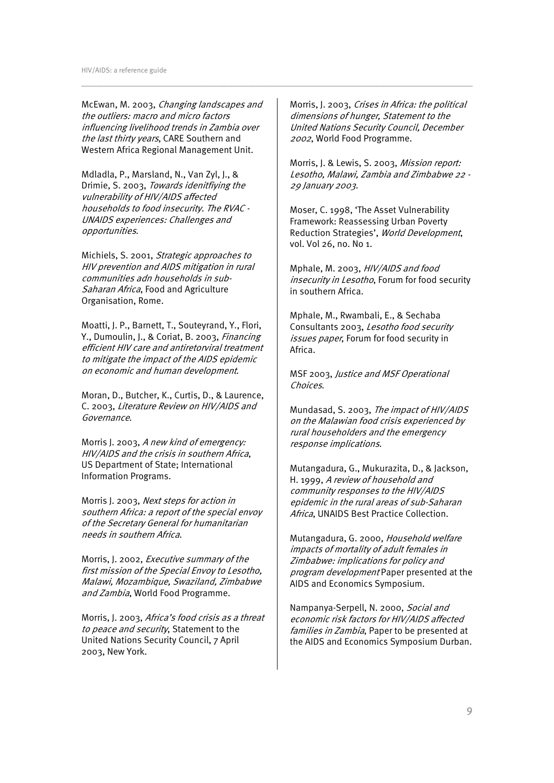McEwan, M. 2003, Changing landscapes and the outliers: macro and micro factors influencing livelihood trends in Zambia over the last thirty years, CARE Southern and Western Africa Regional Management Unit.

Mdladla, P., Marsland, N., Van Zyl, J., & Drimie, S. 2003, Towards idenitfiying the vulnerability of HIV/AIDS affected households to food insecurity. The RVAC - UNAIDS experiences: Challenges and opportunities.

Michiels, S. 2001, Strategic approaches to HIV prevention and AIDS mitigation in rural communities adn households in sub-Saharan Africa, Food and Agriculture Organisation, Rome.

Moatti, J. P., Barnett, T., Souteyrand, Y., Flori, Y., Dumoulin, J., & Coriat, B. 2003, Financing efficient HIV care and antiretorviral treatment to mitigate the impact of the AIDS epidemic on economic and human development.

Moran, D., Butcher, K., Curtis, D., & Laurence, C. 2003, Literature Review on HIV/AIDS and Governance.

Morris J. 2003, A new kind of emergency: HIV/AIDS and the crisis in southern Africa, US Department of State; International Information Programs.

Morris J. 2003, Next steps for action in southern Africa: a report of the special envoy of the Secretary General for humanitarian needs in southern Africa.

Morris, J. 2002, Executive summary of the first mission of the Special Envoy to Lesotho, Malawi, Mozambique, Swaziland, Zimbabwe and Zambia, World Food Programme.

Morris, J. 2003, Africa's food crisis as a threat to peace and security, Statement to the United Nations Security Council, 7 April 2003, New York.

Morris, J. 2003, Crises in Africa: the political dimensions of hunger, Statement to the United Nations Security Council, December <sup>2002</sup>, World Food Programme.

\_\_\_\_\_\_\_\_\_\_\_\_\_\_\_\_\_\_\_\_\_\_\_\_\_\_\_\_\_\_\_\_\_\_\_\_\_\_\_\_\_\_\_\_\_\_\_\_\_\_\_\_\_\_\_\_\_\_\_\_\_\_\_\_\_\_\_\_\_\_\_\_

Morris, J. & Lewis, S. 2003, Mission report: Lesotho, Malawi, Zambia and Zimbabwe 22 - 29 January 2003.

Moser, C. 1998, 'The Asset Vulnerability Framework: Reassessing Urban Poverty Reduction Strategies', World Development, vol. Vol 26, no. No 1.

Mphale, M. 2003, HIV/AIDS and food insecurity in Lesotho, Forum for food security in southern Africa.

Mphale, M., Rwambali, E., & Sechaba Consultants 2003, Lesotho food security issues paper, Forum for food security in Africa.

MSF 2003, Justice and MSF Operational Choices.

Mundasad, S. 2003, The impact of HIV/AIDS on the Malawian food crisis experienced by rural householders and the emergency response implications.

Mutangadura, G., Mukurazita, D., & Jackson, H. 1999, A review of household and community responses to the HIV/AIDS epidemic in the rural areas of sub-Saharan Africa, UNAIDS Best Practice Collection.

Mutangadura, G. 2000, Household welfare impacts of mortality of adult females in Zimbabwe: implications for policy and program development Paper presented at the AIDS and Economics Symposium.

Nampanya-Serpell, N. 2000, Social and economic risk factors for HIV/AIDS affected families in Zambia, Paper to be presented at the AIDS and Economics Symposium Durban.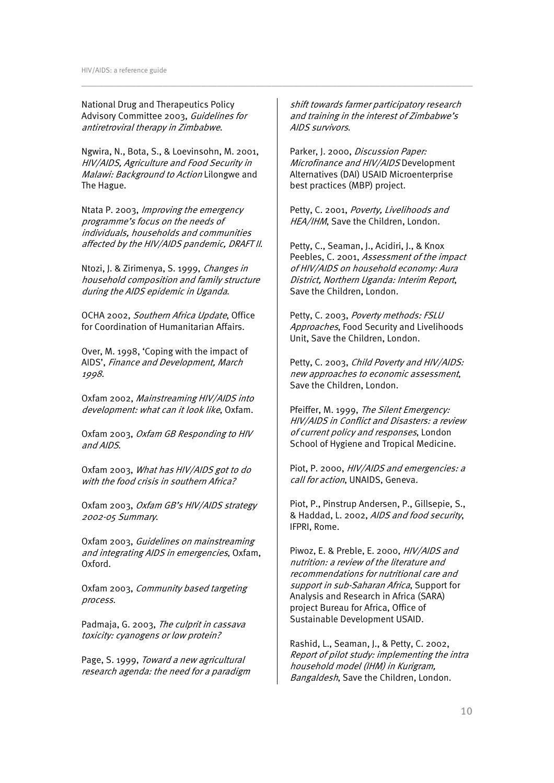National Drug and Therapeutics Policy Advisory Committee 2003, Guidelines for antiretroviral therapy in Zimbabwe.

Ngwira, N., Bota, S., & Loevinsohn, M. 2001, HIV/AIDS, Agriculture and Food Security in Malawi: Background to Action Lilongwe and The Hague.

Ntata P. 2003, Improving the emergency programme's focus on the needs of individuals, households and communities affected by the HIV/AIDS pandemic, DRAFT II.

Ntozi, J. & Zirimenya, S. 1999, Changes in household composition and family structure during the AIDS epidemic in Uganda.

OCHA 2002, Southern Africa Update, Office for Coordination of Humanitarian Affairs.

Over, M. 1998, 'Coping with the impact of AIDS', Finance and Development, March 1998.

Oxfam 2002, Mainstreaming HIV/AIDS into development: what can it look like, Oxfam.

Oxfam 2003, Oxfam GB Responding to HIV and AIDS.

Oxfam 2003, What has HIV/AIDS got to do with the food crisis in southern Africa?

Oxfam 2003, Oxfam GB's HIV/AIDS strategy 2002-05 Summary.

Oxfam 2003, Guidelines on mainstreaming and integrating AIDS in emergencies, Oxfam, Oxford.

Oxfam 2003, Community based targeting process.

Padmaja, G. 2003, The culprit in cassava toxicity: cyanogens or low protein?

Page, S. 1999, Toward a new agricultural research agenda: the need for a paradigm shift towards farmer participatory research and training in the interest of Zimbabwe's AIDS survivors.

\_\_\_\_\_\_\_\_\_\_\_\_\_\_\_\_\_\_\_\_\_\_\_\_\_\_\_\_\_\_\_\_\_\_\_\_\_\_\_\_\_\_\_\_\_\_\_\_\_\_\_\_\_\_\_\_\_\_\_\_\_\_\_\_\_\_\_\_\_\_\_\_

Parker, J. 2000, *Discussion Paper:* Microfinance and HIV/AIDS Development Alternatives (DAI) USAID Microenterprise best practices (MBP) project.

Petty, C. 2001, Poverty, Livelihoods and HEA/IHM, Save the Children, London.

Petty, C., Seaman, J., Acidiri, J., & Knox Peebles, C. 2001, Assessment of the impact of HIV/AIDS on household economy: Aura District, Northern Uganda: Interim Report, Save the Children, London.

Petty, C. 2003, Poverty methods: FSLU Approaches, Food Security and Livelihoods Unit, Save the Children, London.

Petty, C. 2003, Child Poverty and HIV/AIDS: new approaches to economic assessment, Save the Children, London.

Pfeiffer, M. 1999, The Silent Emergency: HIV/AIDS in Conflict and Disasters: a review of current policy and responses, London School of Hygiene and Tropical Medicine.

Piot, P. 2000, HIV/AIDS and emergencies: a call for action, UNAIDS, Geneva.

Piot, P., Pinstrup Andersen, P., Gillsepie, S., & Haddad, L. 2002, AIDS and food security, IFPRI, Rome.

Piwoz, E. & Preble, E. 2000, HIV/AIDS and nutrition: a review of the literature and recommendations for nutritional care and support in sub-Saharan Africa, Support for Analysis and Research in Africa (SARA) project Bureau for Africa, Office of Sustainable Development USAID.

Rashid, L., Seaman, J., & Petty, C. 2002, Report of pilot study: implementing the intra household model (IHM) in Kurigram, Bangaldesh, Save the Children, London.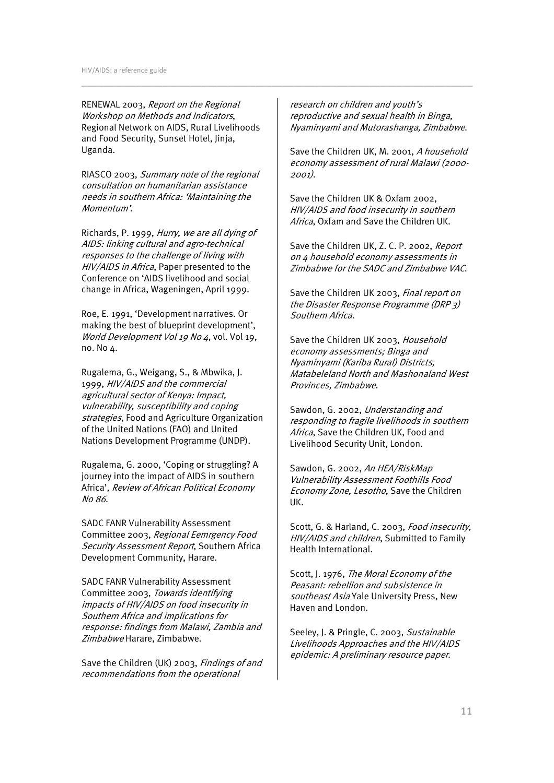RENEWAL 2003, Report on the Regional Workshop on Methods and Indicators, Regional Network on AIDS, Rural Livelihoods and Food Security, Sunset Hotel, Jinja, Uganda.

RIASCO 2003, Summary note of the regional consultation on humanitarian assistance needs in southern Africa: 'Maintaining the Momentum'.

Richards, P. 1999, Hurry, we are all dying of AIDS: linking cultural and agro-technical responses to the challenge of living with HIV/AIDS in Africa, Paper presented to the Conference on 'AIDS livelihood and social change in Africa, Wageningen, April 1999.

Roe, E. 1991, 'Development narratives. Or making the best of blueprint development', World Development Vol 19 No 4, vol. Vol 19, no. No 4.

Rugalema, G., Weigang, S., & Mbwika, J. 1999, HIV/AIDS and the commercial agricultural sector of Kenya: Impact, vulnerability, susceptibility and coping strategies, Food and Agriculture Organization of the United Nations (FAO) and United Nations Development Programme (UNDP).

Rugalema, G. 2000, 'Coping or struggling? A journey into the impact of AIDS in southern Africa', Review of African Political Economy No 86.

SADC FANR Vulnerability Assessment Committee 2003, Regional Eemrgency Food Security Assessment Report, Southern Africa Development Community, Harare.

SADC FANR Vulnerability Assessment Committee 2003, Towards identifying impacts of HIV/AIDS on food insecurity in Southern Africa and implications for response: findings from Malawi, Zambia and Zimbabwe Harare, Zimbabwe.

Save the Children (UK) 2003, *Findings of and* recommendations from the operational

research on children and youth's reproductive and sexual health in Binga, Nyaminyami and Mutorashanga, Zimbabwe.

\_\_\_\_\_\_\_\_\_\_\_\_\_\_\_\_\_\_\_\_\_\_\_\_\_\_\_\_\_\_\_\_\_\_\_\_\_\_\_\_\_\_\_\_\_\_\_\_\_\_\_\_\_\_\_\_\_\_\_\_\_\_\_\_\_\_\_\_\_\_\_\_

Save the Children UK, M. 2001, A household economy assessment of rural Malawi (2000- 2001).

Save the Children UK & Oxfam 2002, HIV/AIDS and food insecurity in southern Africa, Oxfam and Save the Children UK.

Save the Children UK, Z. C. P. 2002, Report on 4 household economy assessments in Zimbabwe for the SADC and Zimbabwe VAC.

Save the Children UK 2003, Final report on the Disaster Response Programme (DRP 3) Southern Africa.

Save the Children UK 2003, Household economy assessments; Binga and Nyaminyami (Kariba Rural) Districts, Matabeleland North and Mashonaland West Provinces, Zimbabwe.

Sawdon, G. 2002, Understanding and responding to fragile livelihoods in southern Africa, Save the Children UK, Food and Livelihood Security Unit, London.

Sawdon, G. 2002, An HEA/RiskMap Vulnerability Assessment Foothills Food Economy Zone, Lesotho, Save the Children UK.

Scott, G. & Harland, C. 2003, Food insecurity, HIV/AIDS and children, Submitted to Family Health International.

Scott, J. 1976, The Moral Economy of the Peasant: rebellion and subsistence in southeast Asia Yale University Press, New Haven and London.

Seeley, J. & Pringle, C. 2003, Sustainable Livelihoods Approaches and the HIV/AIDS epidemic: A preliminary resource paper.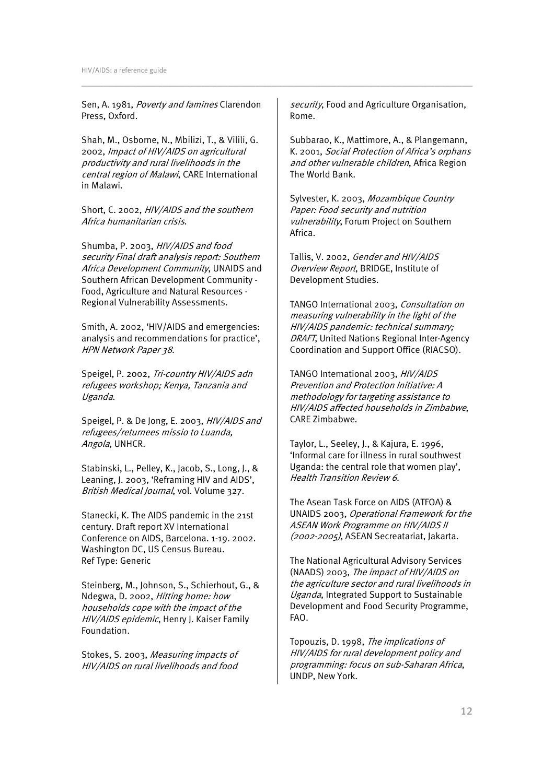Sen, A. 1981, Poverty and famines Clarendon Press, Oxford.

Shah, M., Osborne, N., Mbilizi, T., & Vilili, G. 2002, Impact of HIV/AIDS on agricultural productivity and rural livelihoods in the central region of Malawi, CARE International in Malawi.

Short, C. 2002, HIV/AIDS and the southern Africa humanitarian crisis.

Shumba, P. 2003, HIV/AIDS and food security Final draft analysis report: Southern Africa Development Community, UNAIDS and Southern African Development Community - Food, Agriculture and Natural Resources - Regional Vulnerability Assessments.

Smith, A. 2002, 'HIV/AIDS and emergencies: analysis and recommendations for practice', HPN Network Paper 38.

Speigel, P. 2002, Tri-country HIV/AIDS adn refugees workshop; Kenya, Tanzania and Uganda.

Speigel, P. & De Jong, E. 2003, HIV/AIDS and refugees/returnees missio to Luanda, Angola, UNHCR.

Stabinski, L., Pelley, K., Jacob, S., Long, J., & Leaning, J. 2003, 'Reframing HIV and AIDS', British Medical Journal, vol. Volume 327.

Stanecki, K. The AIDS pandemic in the 21st century. Draft report XV International Conference on AIDS, Barcelona. 1-19. 2002. Washington DC, US Census Bureau. Ref Type: Generic

Steinberg, M., Johnson, S., Schierhout, G., & Ndegwa, D. 2002, Hitting home: how households cope with the impact of the HIV/AIDS epidemic, Henry J. Kaiser Family Foundation.

Stokes, S. 2003, Measuring impacts of HIV/AIDS on rural livelihoods and food security, Food and Agriculture Organisation, Rome.

\_\_\_\_\_\_\_\_\_\_\_\_\_\_\_\_\_\_\_\_\_\_\_\_\_\_\_\_\_\_\_\_\_\_\_\_\_\_\_\_\_\_\_\_\_\_\_\_\_\_\_\_\_\_\_\_\_\_\_\_\_\_\_\_\_\_\_\_\_\_\_\_

Subbarao, K., Mattimore, A., & Plangemann, K. 2001, Social Protection of Africa's orphans and other vulnerable children, Africa Region The World Bank.

Sylvester, K. 2003, Mozambique Country Paper: Food security and nutrition vulnerability, Forum Project on Southern Africa.

Tallis, V. 2002, Gender and HIV/AIDS Overview Report, BRIDGE, Institute of Development Studies.

TANGO International 2003, Consultation on measuring vulnerability in the light of the HIV/AIDS pandemic: technical summary; DRAFT, United Nations Regional Inter-Agency Coordination and Support Office (RIACSO).

TANGO International 2003, HIV/AIDS Prevention and Protection Initiative: A methodology for targeting assistance to HIV/AIDS affected households in Zimbabwe, CARE Zimbabwe.

Taylor, L., Seeley, J., & Kajura, E. 1996, 'Informal care for illness in rural southwest Uganda: the central role that women play', Health Transition Review 6.

The Asean Task Force on AIDS (ATFOA) & UNAIDS 2003, Operational Framework for the ASEAN Work Programme on HIV/AIDS II (2002-2005), ASEAN Secreatariat, Jakarta.

The National Agricultural Advisory Services (NAADS) 2003, The impact of HIV/AIDS on the agriculture sector and rural livelihoods in Uganda, Integrated Support to Sustainable Development and Food Security Programme, FAO.

Topouzis, D. 1998, The implications of HIV/AIDS for rural development policy and programming: focus on sub-Saharan Africa, UNDP, New York.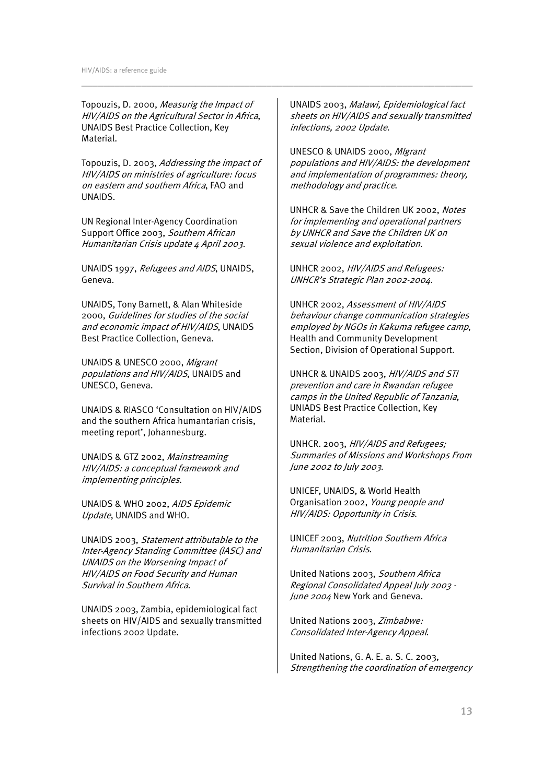Topouzis, D. 2000, Measurig the Impact of HIV/AIDS on the Agricultural Sector in Africa, UNAIDS Best Practice Collection, Key Material.

Topouzis, D. 2003, Addressing the impact of HIV/AIDS on ministries of agriculture: focus on eastern and southern Africa, FAO and UNAIDS.

UN Regional Inter-Agency Coordination Support Office 2003, Southern African Humanitarian Crisis update 4 April 2003.

UNAIDS 1997, Refugees and AIDS, UNAIDS, Geneva.

UNAIDS, Tony Barnett, & Alan Whiteside 2000, Guidelines for studies of the social and economic impact of HIV/AIDS, UNAIDS Best Practice Collection, Geneva.

UNAIDS & UNESCO 2000, Migrant populations and HIV/AIDS, UNAIDS and UNESCO, Geneva.

UNAIDS & RIASCO 'Consultation on HIV/AIDS and the southern Africa humantarian crisis, meeting report', Johannesburg.

UNAIDS & GTZ 2002, Mainstreaming HIV/AIDS: a conceptual framework and implementing principles.

UNAIDS & WHO 2002, AIDS Epidemic Update, UNAIDS and WHO.

UNAIDS 2003, Statement attributable to the Inter-Agency Standing Committee (IASC) and UNAIDS on the Worsening Impact of HIV/AIDS on Food Security and Human Survival in Southern Africa.

UNAIDS 2003, Zambia, epidemiological fact sheets on HIV/AIDS and sexually transmitted infections 2002 Update.

UNAIDS 2003, Malawi, Epidemiological fact sheets on HIV/AIDS and sexually transmitted infections, 2002 Update.

\_\_\_\_\_\_\_\_\_\_\_\_\_\_\_\_\_\_\_\_\_\_\_\_\_\_\_\_\_\_\_\_\_\_\_\_\_\_\_\_\_\_\_\_\_\_\_\_\_\_\_\_\_\_\_\_\_\_\_\_\_\_\_\_\_\_\_\_\_\_\_\_

UNESCO & UNAIDS 2000, MIgrant populations and HIV/AIDS: the development and implementation of programmes: theory, methodology and practice.

UNHCR & Save the Children UK 2002, Notes for implementing and operational partners by UNHCR and Save the Children UK on sexual violence and exploitation.

UNHCR 2002, HIV/AIDS and Refugees: UNHCR's Strategic Plan 2002-2004.

UNHCR 2002, Assessment of HIV/AIDS behaviour change communication strategies employed by NGOs in Kakuma refugee camp, Health and Community Development Section, Division of Operational Support.

UNHCR & UNAIDS 2003, HIV/AIDS and STI prevention and care in Rwandan refugee camps in the United Republic of Tanzania, UNIADS Best Practice Collection, Key Material.

UNHCR. 2003, HIV/AIDS and Refugees; Summaries of Missions and Workshops From June 2002 to July 2003.

UNICEF, UNAIDS, & World Health Organisation 2002, Young people and HIV/AIDS: Opportunity in Crisis.

UNICEF 2003, Nutrition Southern Africa Humanitarian Crisis.

United Nations 2003, Southern Africa Regional Consolidated Appeal July 2003 - June 2004 New York and Geneva.

United Nations 2003, Zimbabwe: Consolidated Inter-Agency Appeal.

United Nations, G. A. E. a. S. C. 2003, Strengthening the coordination of emergency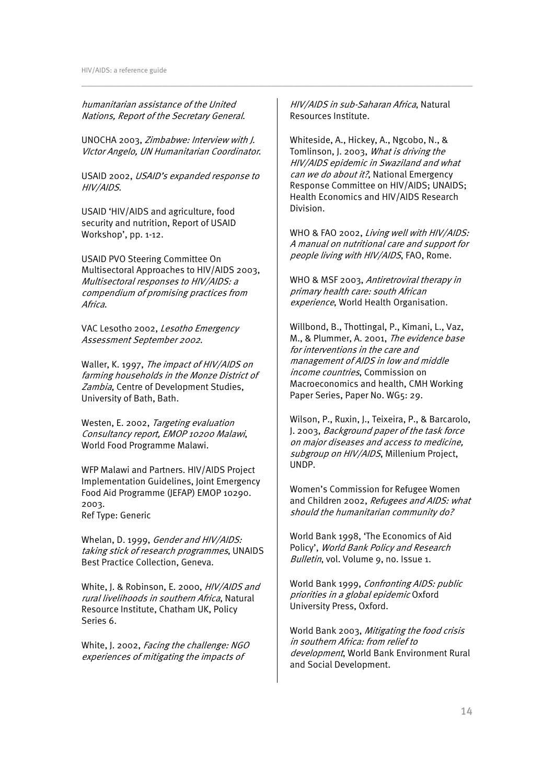humanitarian assistance of the United Nations, Report of the Secretary General.

UNOCHA 2003, Zimbabwe: Interview with J. VIctor Angelo, UN Humanitarian Coordinator.

USAID 2002, USAID's expanded response to HIV/AIDS.

USAID 'HIV/AIDS and agriculture, food security and nutrition, Report of USAID Workshop', pp. 1-12.

USAID PVO Steering Committee On Multisectoral Approaches to HIV/AIDS 2003, Multisectoral responses to HIV/AIDS: a compendium of promising practices from Africa.

VAC Lesotho 2002, Lesotho Emergency Assessment September 2002.

Waller, K. 1997, The impact of HIV/AIDS on farming households in the Monze District of Zambia, Centre of Development Studies, University of Bath, Bath.

Westen, E. 2002, Targeting evaluation Consultancy report, EMOP 10200 Malawi, World Food Programme Malawi.

WFP Malawi and Partners. HIV/AIDS Project Implementation Guidelines, Joint Emergency Food Aid Programme (JEFAP) EMOP 10290. 2003. Ref Type: Generic

Whelan, D. 1999, Gender and HIV/AIDS: taking stick of research programmes, UNAIDS Best Practice Collection, Geneva.

White, J. & Robinson, E. 2000, HIV/AIDS and rural livelihoods in southern Africa, Natural Resource Institute, Chatham UK, Policy Series 6.

White, J. 2002, Facing the challenge: NGO experiences of mitigating the impacts of

HIV/AIDS in sub-Saharan Africa, Natural Resources Institute.

\_\_\_\_\_\_\_\_\_\_\_\_\_\_\_\_\_\_\_\_\_\_\_\_\_\_\_\_\_\_\_\_\_\_\_\_\_\_\_\_\_\_\_\_\_\_\_\_\_\_\_\_\_\_\_\_\_\_\_\_\_\_\_\_\_\_\_\_\_\_\_\_

Whiteside, A., Hickey, A., Ngcobo, N., & Tomlinson, J. 2003, What is driving the HIV/AIDS epidemic in Swaziland and what can we do about it?, National Emergency Response Committee on HIV/AIDS; UNAIDS; Health Economics and HIV/AIDS Research Division.

WHO & FAO 2002, Living well with HIV/AIDS: A manual on nutritional care and support for people living with HIV/AIDS, FAO, Rome.

WHO & MSF 2003, Antiretroviral therapy in primary health care: south African experience, World Health Organisation.

Willbond, B., Thottingal, P., Kimani, L., Vaz, M., & Plummer, A. 2001, The evidence base for interventions in the care and management of AIDS in low and middle income countries, Commission on Macroeconomics and health, CMH Working Paper Series, Paper No. WG5: 29.

Wilson, P., Ruxin, J., Teixeira, P., & Barcarolo, J. 2003, Background paper of the task force on major diseases and access to medicine, subgroup on HIV/AIDS, Millenium Project, UNDP.

Women's Commission for Refugee Women and Children 2002, Refugees and AIDS: what should the humanitarian community do?

World Bank 1998, 'The Economics of Aid Policy', World Bank Policy and Research Bulletin, vol. Volume 9, no. Issue 1.

World Bank 1999, Confronting AIDS: public priorities in a global epidemic Oxford University Press, Oxford.

World Bank 2003, Mitigating the food crisis in southern Africa: from relief to development, World Bank Environment Rural and Social Development.